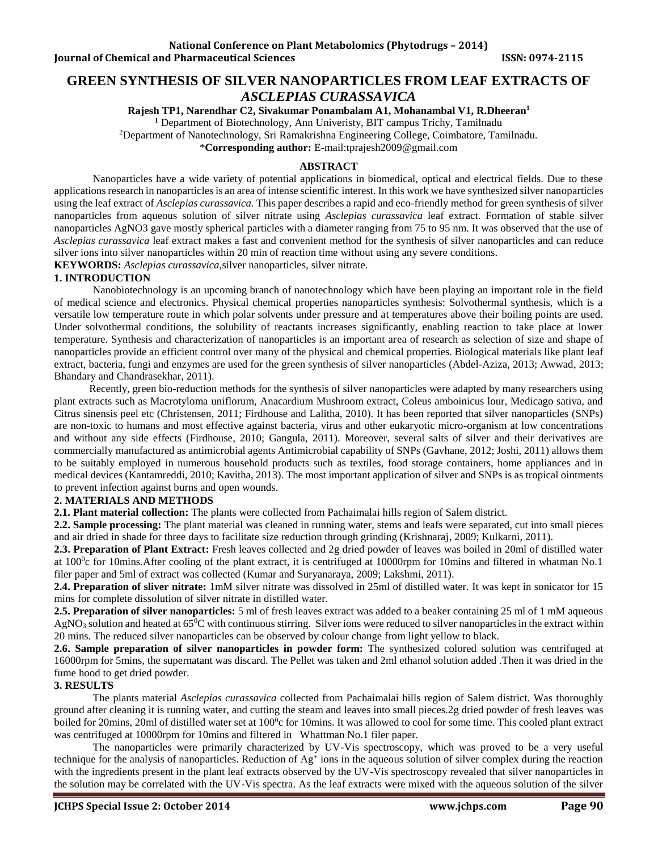# **GREEN SYNTHESIS OF SILVER NANOPARTICLES FROM LEAF EXTRACTS OF**  *ASCLEPIAS CURASSAVICA*

**Rajesh TP1, Narendhar C2, Sivakumar Ponambalam A1, Mohanambal V1, R.Dheeran<sup>1</sup>**

**<sup>1</sup>** Department of Biotechnology, Ann Univeristy, BIT campus Trichy, Tamilnadu

<sup>2</sup>Department of Nanotechnology, Sri Ramakrishna Engineering College, Coimbatore, Tamilnadu.

\***Corresponding author:** E-mail:tprajesh2009@gmail.com

#### **ABSTRACT**

Nanoparticles have a wide variety of potential applications in biomedical, optical and electrical fields. Due to these applications research in nanoparticles is an area of intense scientific interest. In this work we have synthesized silver nanoparticles using the leaf extract of *Asclepias curassavica.* This paper describes a rapid and eco-friendly method for green synthesis of silver nanoparticles from aqueous solution of silver nitrate using *Asclepias curassavica* leaf extract. Formation of stable silver nanoparticles AgNO3 gave mostly spherical particles with a diameter ranging from 75 to 95 nm. It was observed that the use of *Asclepias curassavica* leaf extract makes a fast and convenient method for the synthesis of silver nanoparticles and can reduce silver ions into silver nanoparticles within 20 min of reaction time without using any severe conditions.

**KEYWORDS:** *Asclepias curassavica,*silver nanoparticles, silver nitrate.

#### **1. INTRODUCTION**

Nanobiotechnology is an upcoming branch of nanotechnology which have been playing an important role in the field of medical science and electronics. Physical chemical properties nanoparticles synthesis: Solvothermal synthesis, which is a versatile low temperature route in which polar solvents under pressure and at temperatures above their boiling points are used. Under solvothermal conditions, the solubility of reactants increases significantly, enabling reaction to take place at lower temperature. Synthesis and characterization of nanoparticles is an important area of research as selection of size and shape of nanoparticles provide an efficient control over many of the physical and chemical properties. Biological materials like plant leaf extract, bacteria, fungi and enzymes are used for the green synthesis of silver nanoparticles (Abdel-Aziza, 2013; Awwad, 2013; Bhandary and Chandrasekhar, 2011).

 Recently, green bio-reduction methods for the synthesis of silver nanoparticles were adapted by many researchers using plant extracts such as Macrotyloma uniflorum, Anacardium Mushroom extract, Coleus amboinicus lour, Medicago sativa, and Citrus sinensis peel etc (Christensen, 2011; Firdhouse and Lalitha, 2010). It has been reported that silver nanoparticles (SNPs) are non-toxic to humans and most effective against bacteria, virus and other eukaryotic micro-organism at low concentrations and without any side effects (Firdhouse, 2010; Gangula, 2011). Moreover, several salts of silver and their derivatives are commercially manufactured as antimicrobial agents Antimicrobial capability of SNPs (Gavhane, 2012; Joshi, 2011) allows them to be suitably employed in numerous household products such as textiles, food storage containers, home appliances and in medical devices (Kantamreddi, 2010; Kavitha, 2013). The most important application of silver and SNPs is as tropical ointments to prevent infection against burns and open wounds.

## **2. MATERIALS AND METHODS**

**2.1. Plant material collection:** The plants were collected from Pachaimalai hills region of Salem district.

**2.2. Sample processing:** The plant material was cleaned in running water, stems and leafs were separated, cut into small pieces and air dried in shade for three days to facilitate size reduction through grinding (Krishnaraj, 2009; Kulkarni, 2011).

**2.3. Preparation of Plant Extract:** Fresh leaves collected and 2g dried powder of leaves was boiled in 20ml of distilled water at 100<sup>0</sup>c for 10mins. After cooling of the plant extract, it is centrifuged at 10000rpm for 10mins and filtered in whatman No.1 filer paper and 5ml of extract was collected (Kumar and Suryanaraya, 2009; Lakshmi, 2011).

**2.4. Preparation of sliver nitrate:** 1mM silver nitrate was dissolved in 25ml of distilled water. It was kept in sonicator for 15 mins for complete dissolution of silver nitrate in distilled water.

**2.5. Preparation of silver nanoparticles:** 5 ml of fresh leaves extract was added to a beaker containing 25 ml of 1 mM aqueous  $AgNO<sub>3</sub>$  solution and heated at 65<sup>o</sup>C with continuous stirring. Silver ions were reduced to silver nanoparticles in the extract within 20 mins. The reduced silver nanoparticles can be observed by colour change from light yellow to black.

**2.6. Sample preparation of silver nanoparticles in powder form:** The synthesized colored solution was centrifuged at 16000rpm for 5mins, the supernatant was discard. The Pellet was taken and 2ml ethanol solution added .Then it was dried in the fume hood to get dried powder.

# **3. RESULTS**

The plants material *Asclepias curassavica* collected from Pachaimalai hills region of Salem district. Was thoroughly ground after cleaning it is running water, and cutting the steam and leaves into small pieces.2g dried powder of fresh leaves was boiled for 20mins, 20ml of distilled water set at 100°c for 10mins. It was allowed to cool for some time. This cooled plant extract was centrifuged at 10000rpm for 10mins and filtered in Whattman No.1 filer paper.

The nanoparticles were primarily characterized by UV-Vis spectroscopy, which was proved to be a very useful technique for the analysis of nanoparticles. Reduction of Ag<sup>+</sup> ions in the aqueous solution of silver complex during the reaction with the ingredients present in the plant leaf extracts observed by the UV-Vis spectroscopy revealed that silver nanoparticles in the solution may be correlated with the UV-Vis spectra. As the leaf extracts were mixed with the aqueous solution of the silver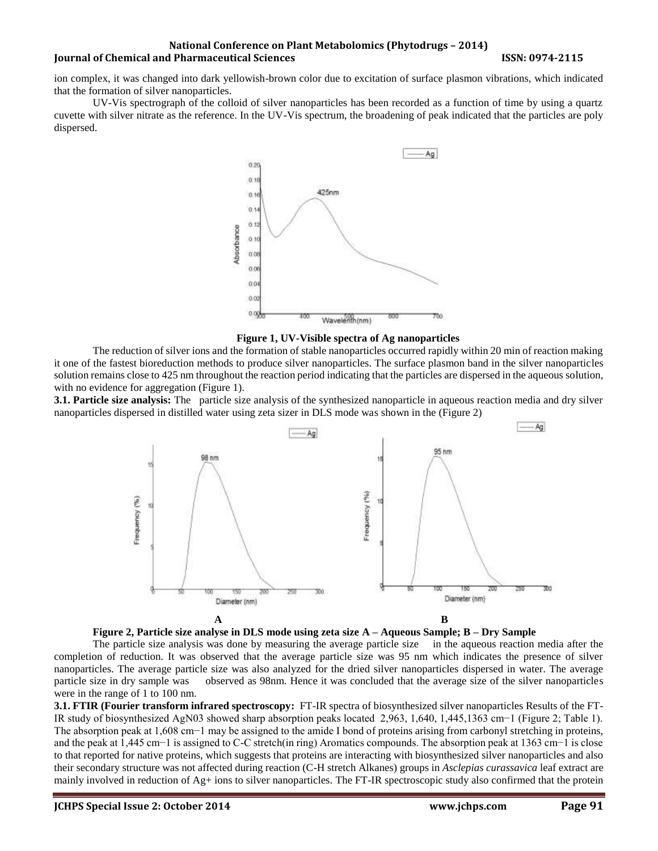## **National Conference on Plant Metabolomics (Phytodrugs – 2014) Iournal of Chemical and Pharmaceutical Sciences ISSN: 0974-2115**

ion complex, it was changed into dark yellowish-brown color due to excitation of surface plasmon vibrations, which indicated that the formation of silver nanoparticles.

UV-Vis spectrograph of the colloid of silver nanoparticles has been recorded as a function of time by using a quartz cuvette with silver nitrate as the reference. In the UV-Vis spectrum, the broadening of peak indicated that the particles are poly dispersed.



**Figure 1, UV-Visible spectra of Ag nanoparticles**

The reduction of silver ions and the formation of stable nanoparticles occurred rapidly within 20 min of reaction making it one of the fastest bioreduction methods to produce silver nanoparticles. The surface plasmon band in the silver nanoparticles solution remains close to 425 nm throughout the reaction period indicating that the particles are dispersed in the aqueous solution, with no evidence for aggregation (Figure 1).

**3.1. Particle size analysis:** The particle size analysis of the synthesized nanoparticle in aqueous reaction media and dry silver nanoparticles dispersed in distilled water using zeta sizer in DLS mode was shown in the (Figure 2)





The particle size analysis was done by measuring the average particle size in the aqueous reaction media after the completion of reduction. It was observed that the average particle size was 95 nm which indicates the presence of silver nanoparticles. The average particle size was also analyzed for the dried silver nanoparticles dispersed in water. The average particle size in dry sample was observed as 98nm. Hence it was concluded that the average size of the silver nanoparticles were in the range of 1 to 100 nm.

**3.1. FTIR (Fourier transform infrared spectroscopy:** FT-IR spectra of biosynthesized silver nanoparticles Results of the FT-IR study of biosynthesized AgN03 showed sharp absorption peaks located 2,963, 1,640, 1,445,1363 cm−1 (Figure 2; Table 1). The absorption peak at 1,608 cm−1 may be assigned to the amide I bond of proteins arising from carbonyl stretching in proteins, and the peak at 1,445 cm−1 is assigned to C-C stretch(in ring) Aromatics compounds. The absorption peak at 1363 cm−1 is close to that reported for native proteins, which suggests that proteins are interacting with biosynthesized silver nanoparticles and also their secondary structure was not affected during reaction (C-H stretch Alkanes) groups in *Asclepias curassavica* leaf extract are mainly involved in reduction of  $Ag$ + ions to silver nanoparticles. The FT-IR spectroscopic study also confirmed that the protein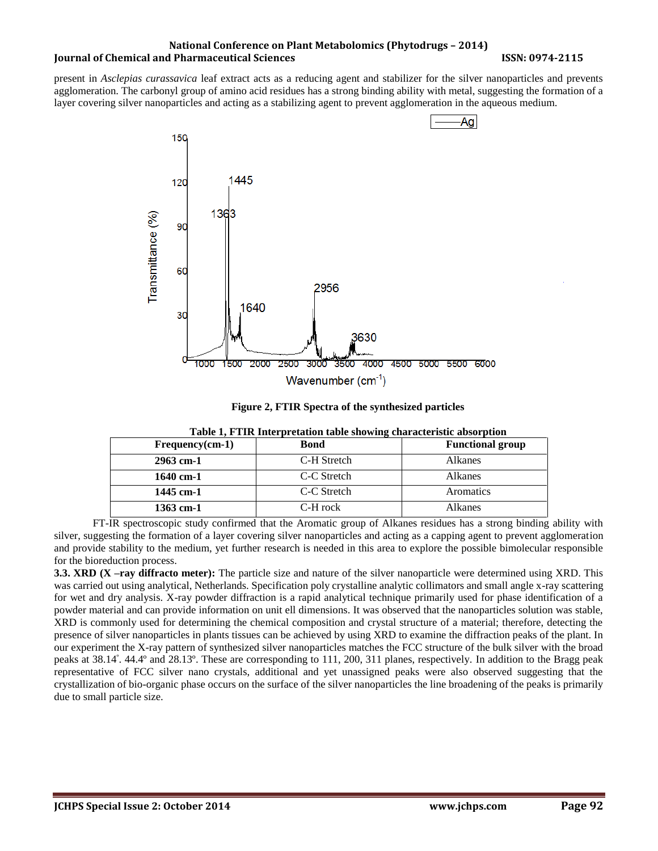#### **National Conference on Plant Metabolomics (Phytodrugs – 2014) Iournal of Chemical and Pharmaceutical Sciences ISSN: 0974-2115**

present in *Asclepias curassavica* leaf extract acts as a reducing agent and stabilizer for the silver nanoparticles and prevents agglomeration. The carbonyl group of amino acid residues has a strong binding ability with metal, suggesting the formation of a layer covering silver nanoparticles and acting as a stabilizing agent to prevent agglomeration in the aqueous medium.



**Figure 2, FTIR Spectra of the synthesized particles**

| $Frequency(cm-1)$ | <b>Bond</b> | <b>Functional group</b> |
|-------------------|-------------|-------------------------|
| $2963$ cm-1       | C-H Stretch | Alkanes                 |
| $1640$ cm-1       | C-C Stretch | Alkanes                 |
| 1445 cm-1         | C-C Stretch | Aromatics               |
| $1363$ cm-1       | C-H rock    | Alkanes                 |

**Table 1, FTIR Interpretation table showing characteristic absorption**

FT-IR spectroscopic study confirmed that the Aromatic group of Alkanes residues has a strong binding ability with silver, suggesting the formation of a layer covering silver nanoparticles and acting as a capping agent to prevent agglomeration and provide stability to the medium, yet further research is needed in this area to explore the possible bimolecular responsible for the bioreduction process.

**3.3. XRD (X –ray diffracto meter):** The particle size and nature of the silver nanoparticle were determined using XRD. This was carried out using analytical, Netherlands. Specification poly crystalline analytic collimators and small angle x-ray scattering for wet and dry analysis. X-ray powder diffraction is a rapid analytical technique primarily used for phase identification of a powder material and can provide information on unit ell dimensions. It was observed that the nanoparticles solution was stable, XRD is commonly used for determining the chemical composition and crystal structure of a material; therefore, detecting the presence of silver nanoparticles in plants tissues can be achieved by using XRD to examine the diffraction peaks of the plant. In our experiment the X-ray pattern of synthesized silver nanoparticles matches the FCC structure of the bulk silver with the broad peaks at 38.14<sup>º</sup> . 44.4º and 28.13º. These are corresponding to 111, 200, 311 planes, respectively. In addition to the Bragg peak representative of FCC silver nano crystals, additional and yet unassigned peaks were also observed suggesting that the crystallization of bio-organic phase occurs on the surface of the silver nanoparticles the line broadening of the peaks is primarily due to small particle size.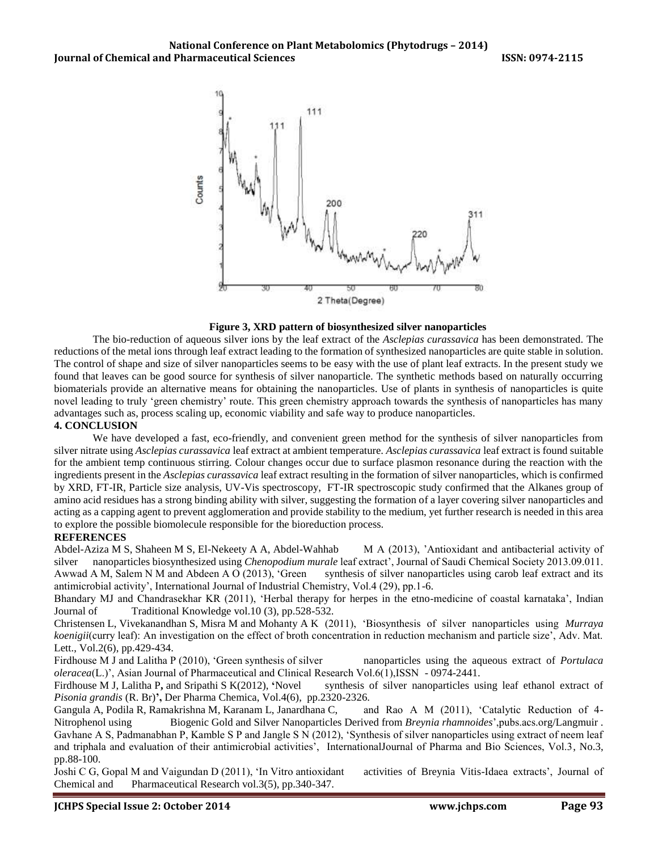

#### **Figure 3, XRD pattern of biosynthesized silver nanoparticles**

The bio-reduction of aqueous silver ions by the leaf extract of the *Asclepias curassavica* has been demonstrated. The reductions of the metal ions through leaf extract leading to the formation of synthesized nanoparticles are quite stable in solution. The control of shape and size of silver nanoparticles seems to be easy with the use of plant leaf extracts. In the present study we found that leaves can be good source for synthesis of silver nanoparticle. The synthetic methods based on naturally occurring biomaterials provide an alternative means for obtaining the nanoparticles. Use of plants in synthesis of nanoparticles is quite novel leading to truly 'green chemistry' route. This green chemistry approach towards the synthesis of nanoparticles has many advantages such as, process scaling up, economic viability and safe way to produce nanoparticles.

# **4. CONCLUSION**

We have developed a fast, eco-friendly, and convenient green method for the synthesis of silver nanoparticles from silver nitrate using *Asclepias curassavica* leaf extract at ambient temperature. *Asclepias curassavica* leaf extract is found suitable for the ambient temp continuous stirring. Colour changes occur due to surface plasmon resonance during the reaction with the ingredients present in the *Asclepias curassavica* leaf extract resulting in the formation of silver nanoparticles, which is confirmed by XRD, FT-IR, Particle size analysis, UV-Vis spectroscopy, FT-IR spectroscopic study confirmed that the Alkanes group of amino acid residues has a strong binding ability with silver, suggesting the formation of a layer covering silver nanoparticles and acting as a capping agent to prevent agglomeration and provide stability to the medium, yet further research is needed in this area to explore the possible biomolecule responsible for the bioreduction process.

#### **REFERENCES**

Abdel-Aziza M S, Shaheen M S, El-Nekeety A A, Abdel-Wahhab M A (2013), 'Antioxidant and antibacterial activity of silver nanoparticles biosynthesized using *Chenopodium murale* leaf extract', Journal of Saudi Chemical Society 2013.09.011. Awwad A M, Salem N M and Abdeen A O (2013), 'Green synthesis of silver nanoparticles using carob leaf extract and its antimicrobial activity', International Journal of Industrial Chemistry, Vol.4 (29), pp.1-6.

Bhandary MJ and Chandrasekhar KR (2011), 'Herbal therapy for herpes in the etno-medicine of coastal karnataka', Indian Journal of Traditional Knowledge vol.10 (3), pp.528-532.

Christensen L, Vivekanandhan S, Misra M and Mohanty A K (2011), 'Biosynthesis of silver nanoparticles using *Murraya koenigii*(curry leaf): An investigation on the effect of broth concentration in reduction mechanism and particle size', Adv. Mat. Lett., Vol.2(6), pp.429-434.

Firdhouse M J and Lalitha P (2010), 'Green synthesis of silver nanoparticles using the aqueous extract of *Portulaca oleracea*(L.)', Asian Journal of Pharmaceutical and Clinical Research Vol.6(1),ISSN - 0974-2441.

Firdhouse M J, Lalitha P**,** and Sripathi S K(2012), **'**Novel synthesis of silver nanoparticles using leaf ethanol extract of *Pisonia grandis* (R. Br)**',** Der Pharma Chemica, Vol.4(6), pp.2320-2326.

Gangula A, Podila R, Ramakrishna M, Karanam L, Janardhana C, and Rao A M (2011), 'Catalytic Reduction of 4- Nitrophenol using Biogenic Gold and Silver Nanoparticles Derived from *Breynia rhamnoides*',pubs.acs.org/Langmuir . Gavhane A S, Padmanabhan P, Kamble S P and Jangle S N (2012), 'Synthesis of silver nanoparticles using extract of neem leaf and triphala and evaluation of their antimicrobial activities', InternationalJournal of Pharma and Bio Sciences, Vol.3, No.3, pp.88-100.

Joshi C G, Gopal M and Vaigundan D (2011), 'In Vitro antioxidant activities of Breynia Vitis-Idaea extracts', Journal of Chemical and Pharmaceutical Research vol.3(5), pp.340-347.